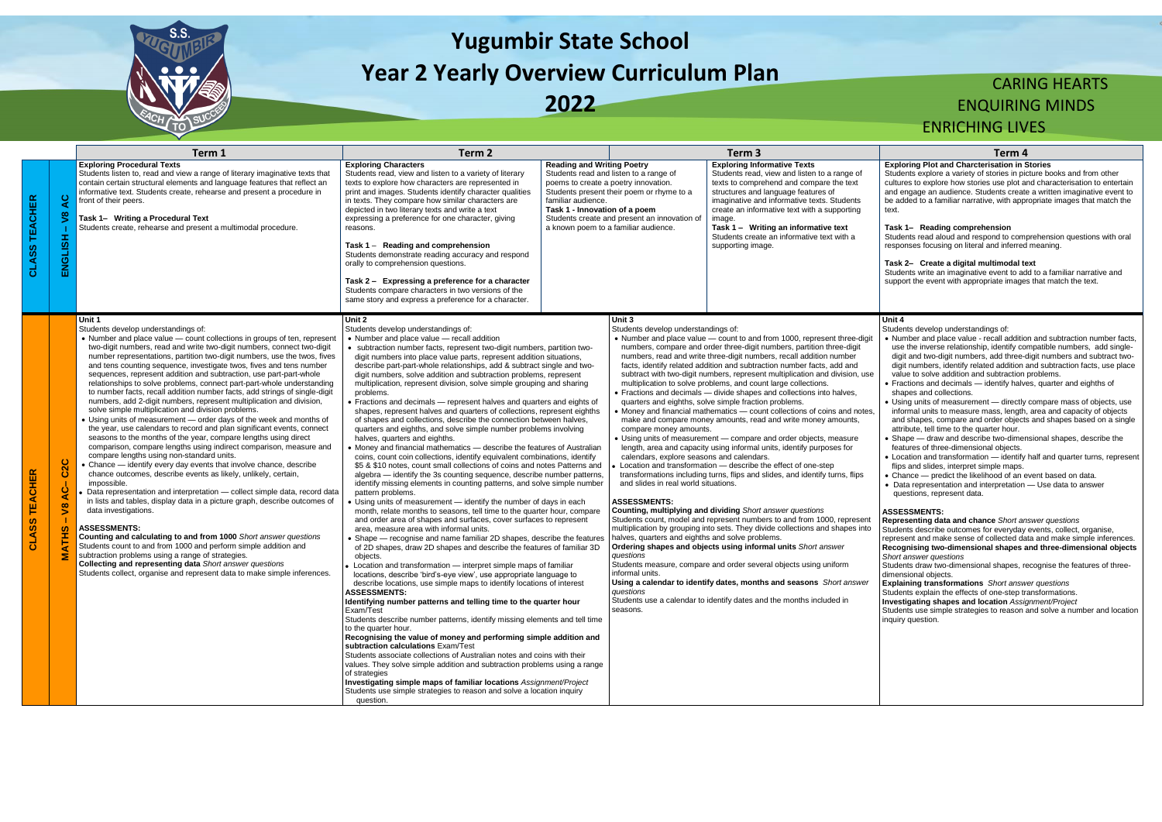

# **Yugumbir State School Year 2 Yearly Overview Curriculum Plan**

**2022**

## CARING HEARTS ENQUIRING MINDS ENRICHING LIVES

### **Exploring Plot and Charcterisation in Stories**

Students explore a variety of stories in picture books and from other cultures to explore how stories use plot and characterisation to entertain and engage an audience. Students create a written imaginative event to be added to a familiar narrative, with appropriate images that match the text.

### **Task 1– Reading comprehension**

Students read aloud and respond to comprehension questions with oral responses focusing on literal and inferred meaning.

### **Task 2– Create a digital multimodal text**

Students write an imaginative event to add to a familiar narrative and support the event with appropriate images that match the text.

|                  |                                                                 | Term 1                                                                                                                                                                                                                                                                                                                                                                                                                                                                                                                                                                                                                                                                                                                                                                                                                                                                                                                                                                                                                                                                                                                                                                                                                                                                                                                                                                                                                                                                                                                                                                                                                                                                                                                                                        | Term <sub>2</sub>                                                                                                                                                                                                                                                                                                                                                                                                                                                                                                                                                                                                                                                                                                                                                                                                                                                                                                                                                                                                                                                                                                                                                                                                                                                                                                                                                                                                                                                                                                                                                                                                                                                                                                                                                                                                                                                                                                                                                                                                                                                                                                                                                                                                                                                                                                                                                                                                                                                                                                                             |                                                                                                                                                                                                                                                                                                                 | Term 3                                                                                                                                                                                                                                                                                                                                                                                                                                                                                                                                                                                                                                                                                                                                                                                                                                                                                                                                                                                                                                                                                                                                                                                                                                                                                                                                                                                                                                                                                                                                           | Term 4                                                                                                                                                                                                                                                                                                                                                                                                                                                                                                                                                                                                                                                                                                                                                                                                                                                                                                                                                                                                                                                                                                                                                                                                                                                                                                                                        |
|------------------|-----------------------------------------------------------------|---------------------------------------------------------------------------------------------------------------------------------------------------------------------------------------------------------------------------------------------------------------------------------------------------------------------------------------------------------------------------------------------------------------------------------------------------------------------------------------------------------------------------------------------------------------------------------------------------------------------------------------------------------------------------------------------------------------------------------------------------------------------------------------------------------------------------------------------------------------------------------------------------------------------------------------------------------------------------------------------------------------------------------------------------------------------------------------------------------------------------------------------------------------------------------------------------------------------------------------------------------------------------------------------------------------------------------------------------------------------------------------------------------------------------------------------------------------------------------------------------------------------------------------------------------------------------------------------------------------------------------------------------------------------------------------------------------------------------------------------------------------|-----------------------------------------------------------------------------------------------------------------------------------------------------------------------------------------------------------------------------------------------------------------------------------------------------------------------------------------------------------------------------------------------------------------------------------------------------------------------------------------------------------------------------------------------------------------------------------------------------------------------------------------------------------------------------------------------------------------------------------------------------------------------------------------------------------------------------------------------------------------------------------------------------------------------------------------------------------------------------------------------------------------------------------------------------------------------------------------------------------------------------------------------------------------------------------------------------------------------------------------------------------------------------------------------------------------------------------------------------------------------------------------------------------------------------------------------------------------------------------------------------------------------------------------------------------------------------------------------------------------------------------------------------------------------------------------------------------------------------------------------------------------------------------------------------------------------------------------------------------------------------------------------------------------------------------------------------------------------------------------------------------------------------------------------------------------------------------------------------------------------------------------------------------------------------------------------------------------------------------------------------------------------------------------------------------------------------------------------------------------------------------------------------------------------------------------------------------------------------------------------------------------------------------------------|-----------------------------------------------------------------------------------------------------------------------------------------------------------------------------------------------------------------------------------------------------------------------------------------------------------------|--------------------------------------------------------------------------------------------------------------------------------------------------------------------------------------------------------------------------------------------------------------------------------------------------------------------------------------------------------------------------------------------------------------------------------------------------------------------------------------------------------------------------------------------------------------------------------------------------------------------------------------------------------------------------------------------------------------------------------------------------------------------------------------------------------------------------------------------------------------------------------------------------------------------------------------------------------------------------------------------------------------------------------------------------------------------------------------------------------------------------------------------------------------------------------------------------------------------------------------------------------------------------------------------------------------------------------------------------------------------------------------------------------------------------------------------------------------------------------------------------------------------------------------------------|-----------------------------------------------------------------------------------------------------------------------------------------------------------------------------------------------------------------------------------------------------------------------------------------------------------------------------------------------------------------------------------------------------------------------------------------------------------------------------------------------------------------------------------------------------------------------------------------------------------------------------------------------------------------------------------------------------------------------------------------------------------------------------------------------------------------------------------------------------------------------------------------------------------------------------------------------------------------------------------------------------------------------------------------------------------------------------------------------------------------------------------------------------------------------------------------------------------------------------------------------------------------------------------------------------------------------------------------------|
| ≃<br>ш<br>공<br>ភ | ပ္ရ<br>$\boldsymbol{\mathsf{s}}$<br>ENGLISH                     | <b>Exploring Procedural Texts</b><br>Students listen to, read and view a range of literary imaginative texts that<br>contain certain structural elements and language features that reflect an<br>informative text. Students create, rehearse and present a procedure in<br>front of their peers.<br>Task 1- Writing a Procedural Text<br>Students create, rehearse and present a multimodal procedure.                                                                                                                                                                                                                                                                                                                                                                                                                                                                                                                                                                                                                                                                                                                                                                                                                                                                                                                                                                                                                                                                                                                                                                                                                                                                                                                                                       | <b>Exploring Characters</b><br>Students read, view and listen to a variety of literary<br>texts to explore how characters are represented in<br>print and images. Students identify character qualities<br>in texts. They compare how similar characters are<br>depicted in two literary texts and write a text<br>expressing a preference for one character, giving<br>reasons.<br>Task 1 - Reading and comprehension<br>Students demonstrate reading accuracy and respond<br>orally to comprehension questions.<br>Task 2 - Expressing a preference for a character<br>Students compare characters in two versions of the<br>same story and express a preference for a character.                                                                                                                                                                                                                                                                                                                                                                                                                                                                                                                                                                                                                                                                                                                                                                                                                                                                                                                                                                                                                                                                                                                                                                                                                                                                                                                                                                                                                                                                                                                                                                                                                                                                                                                                                                                                                                                           | <b>Reading and Writing Poetry</b><br>Students read and listen to a range of<br>poems to create a poetry innovation.<br>Students present their poem or rhyme to a<br>familiar audience.<br>Task 1 - Innovation of a poem<br>Students create and present an innovation of<br>a known poem to a familiar audience. | <b>Exploring Informative Texts</b><br>Students read, view and listen to a range of<br>texts to comprehend and compare the text<br>structures and language features of<br>imaginative and informative texts. Students<br>create an informative text with a supporting<br>image.<br>Task 1 - Writing an informative text<br>Students create an informative text with a<br>supporting image.                                                                                                                                                                                                                                                                                                                                                                                                                                                                                                                                                                                                                                                                                                                                                                                                                                                                                                                                                                                                                                                                                                                                                        | <b>Exploring Plot and Charcterisation in 9</b><br>Students explore a variety of stories in pion<br>cultures to explore how stories use plot a<br>and engage an audience. Students create<br>be added to a familiar narrative, with appl<br>text.<br>Task 1- Reading comprehension<br>Students read aloud and respond to com<br>responses focusing on literal and inferred<br>Task 2- Create a digital multimodal to<br>Students write an imaginative event to ad<br>support the event with appropriate image                                                                                                                                                                                                                                                                                                                                                                                                                                                                                                                                                                                                                                                                                                                                                                                                                                  |
|                  | C <sub>2</sub> C<br>$rac{1}{4}$<br>$\sqrt{8}$<br><b>SC</b><br>舌 | Unit 1<br>Students develop understandings of:<br>• Number and place value – count collections in groups of ten, represent<br>two-digit numbers, read and write two-digit numbers, connect two-digit<br>number representations, partition two-digit numbers, use the twos, fives<br>and tens counting sequence, investigate twos, fives and tens number<br>sequences, represent addition and subtraction, use part-part-whole<br>relationships to solve problems, connect part-part-whole understanding<br>to number facts, recall addition number facts, add strings of single-digit<br>numbers, add 2-digit numbers, represent multiplication and division,<br>solve simple multiplication and division problems.<br>• Using units of measurement - order days of the week and months of<br>the year, use calendars to record and plan significant events, connect<br>seasons to the months of the year, compare lengths using direct<br>comparison, compare lengths using indirect comparison, measure and<br>compare lengths using non-standard units.<br>• Chance - identify every day events that involve chance, describe<br>chance outcomes, describe events as likely, unlikely, certain,<br>impossible.<br>Data representation and interpretation - collect simple data, record data<br>in lists and tables, display data in a picture graph, describe outcomes of<br>data investigations.<br><b>ASSESSMENTS:</b><br>Counting and calculating to and from 1000 Short answer questions<br>Students count to and from 1000 and perform simple addition and<br>subtraction problems using a range of strategies.<br>Collecting and representing data Short answer questions<br>Students collect, organise and represent data to make simple inferences. | Unit 2<br>Students develop understandings of:<br>• Number and place value - recall addition<br>• subtraction number facts, represent two-digit numbers, partition two-<br>digit numbers into place value parts, represent addition situations,<br>describe part-part-whole relationships, add & subtract single and two-<br>digit numbers, solve addition and subtraction problems, represent<br>multiplication, represent division, solve simple grouping and sharing<br>problems.<br>• Fractions and decimals - represent halves and quarters and eights of<br>shapes, represent halves and quarters of collections, represent eighths<br>of shapes and collections, describe the connection between halves.<br>quarters and eighths, and solve simple number problems involving<br>halves, quarters and eighths.<br>• Money and financial mathematics - describe the features of Australian<br>coins, count coin collections, identify equivalent combinations, identify<br>\$5 & \$10 notes, count small collections of coins and notes Patterns and<br>algebra - identify the 3s counting sequence, describe number patterns,<br>identify missing elements in counting patterns, and solve simple number<br>pattern problems.<br>• Using units of measurement - identify the number of days in each<br>month, relate months to seasons, tell time to the quarter hour, compare<br>and order area of shapes and surfaces, cover surfaces to represent<br>area, measure area with informal units.<br>• Shape — recognise and name familiar 2D shapes, describe the features<br>of 2D shapes, draw 2D shapes and describe the features of familiar 3D<br>objects<br>• Location and transformation - interpret simple maps of familiar<br>locations, describe 'bird's-eye view', use appropriate language to<br>describe locations, use simple maps to identify locations of interest<br>ASSESSMENTS:<br>Identifying number patterns and telling time to the quarter hour<br>Exam/Test<br>Students describe number patterns, identify missing elements and tell time<br>to the quarter hour.<br>Recognising the value of money and performing simple addition and<br>subtraction calculations Exam/Test<br>Students associate collections of Australian notes and coins with their<br>values. They solve simple addition and subtraction problems using a range<br>of strategies<br>Investigating simple maps of familiar locations Assignment/Project<br>Students use simple strategies to reason and solve a location inquiry<br>question. | Unit 3<br>Students develop understandings of:<br>compare money amounts.<br>calendars, explore seasons and calendars.<br>and slides in real world situations.<br><b>ASSESSMENTS:</b><br>halves, quarters and eighths and solve problems.<br>questions<br>informal units.<br>questions<br>seasons.                | • Number and place value - count to and from 1000, represent three-digit<br>numbers, compare and order three-digit numbers, partition three-digit<br>numbers, read and write three-digit numbers, recall addition number<br>facts, identify related addition and subtraction number facts, add and<br>subtract with two-digit numbers, represent multiplication and division, use<br>multiplication to solve problems, and count large collections.<br>• Fractions and decimals - divide shapes and collections into halves,<br>quarters and eighths, solve simple fraction problems.<br>• Money and financial mathematics - count collections of coins and notes,<br>make and compare money amounts, read and write money amounts,<br>• Using units of measurement — compare and order objects, measure<br>length, area and capacity using informal units, identify purposes for<br>Location and transformation – describe the effect of one-step<br>transformations including turns, flips and slides, and identify turns, flips<br>Counting, multiplying and dividing Short answer questions<br>Students count, model and represent numbers to and from 1000, represent<br>multiplication by grouping into sets. They divide collections and shapes into<br>Ordering shapes and objects using informal units Short answer<br>Students measure, compare and order several objects using uniform<br>Using a calendar to identify dates, months and seasons Short answer<br>Students use a calendar to identify dates and the months included in | Unit 4<br>Students develop understandings of:<br>• Number and place value - recall additio<br>use the inverse relationship, identify co<br>digit and two-digit numbers, add three-o<br>digit numbers, identify related addition a<br>value to solve addition and subtraction<br>• Fractions and decimals - identify halve<br>shapes and collections.<br>• Using units of measurement - directly<br>informal units to measure mass, length,<br>and shapes, compare and order objects<br>attribute, tell time to the quarter hour.<br>• Shape - draw and describe two-dimer<br>features of three-dimensional objects.<br>• Location and transformation - identify<br>flips and slides, interpret simple maps.<br>• Chance - predict the likelihood of an e<br>• Data representation and interpretation<br>questions, represent data.<br><b>ASSESSMENTS:</b><br>Representing data and chance Short an<br>Students describe outcomes for everyday<br>represent and make sense of collected da<br>Recognising two-dimensional shapes a<br>Short answer questions<br>Students draw two-dimensional shapes, re<br>dimensional objects.<br><b>Explaining transformations</b> Short answ<br>Students explain the effects of one-step tra<br>Investigating shapes and location Assid<br>Students use simple strategies to reason a<br>inquiry question. |

- Number and place value recall addition and subtraction number facts, use the inverse relationship, identify compatible numbers, add singledigit and two-digit numbers, add three-digit numbers and subtract twodigit numbers, identify related addition and subtraction facts, use place value to solve addition and subtraction problems.
- Fractions and decimals identify halves, quarter and eighths of shapes and collections.
- Using units of measurement directly compare mass of objects, use informal units to measure mass, length, area and capacity of objects and shapes, compare and order objects and shapes based on a single attribute, tell time to the quarter hour.
- Shape draw and describe two-dimensional shapes, describe the features of three-dimensional objects.
- Location and transformation identify half and quarter turns, represent flips and slides, interpret simple maps.
- Chance predict the likelihood of an event based on data.
- Data representation and interpretation Use data to answer questions, represent data.

### **Unit 4**

### **ASSESSMENTS:**

**Representing data and chance** *Short answer questions* Students describe outcomes for everyday events, collect, organise, represent and make sense of collected data and make simple inferences. **Recognising two-dimensional shapes and three-dimensional objects**  *Short answer questions*

Students draw two-dimensional shapes, recognise the features of threedimensional objects.

**Explaining transformations** *Short answer questions*

Students explain the effects of one-step transformations.

**Investigating shapes and location** *Assignment/Project*

Students use simple strategies to reason and solve a number and location inquiry question.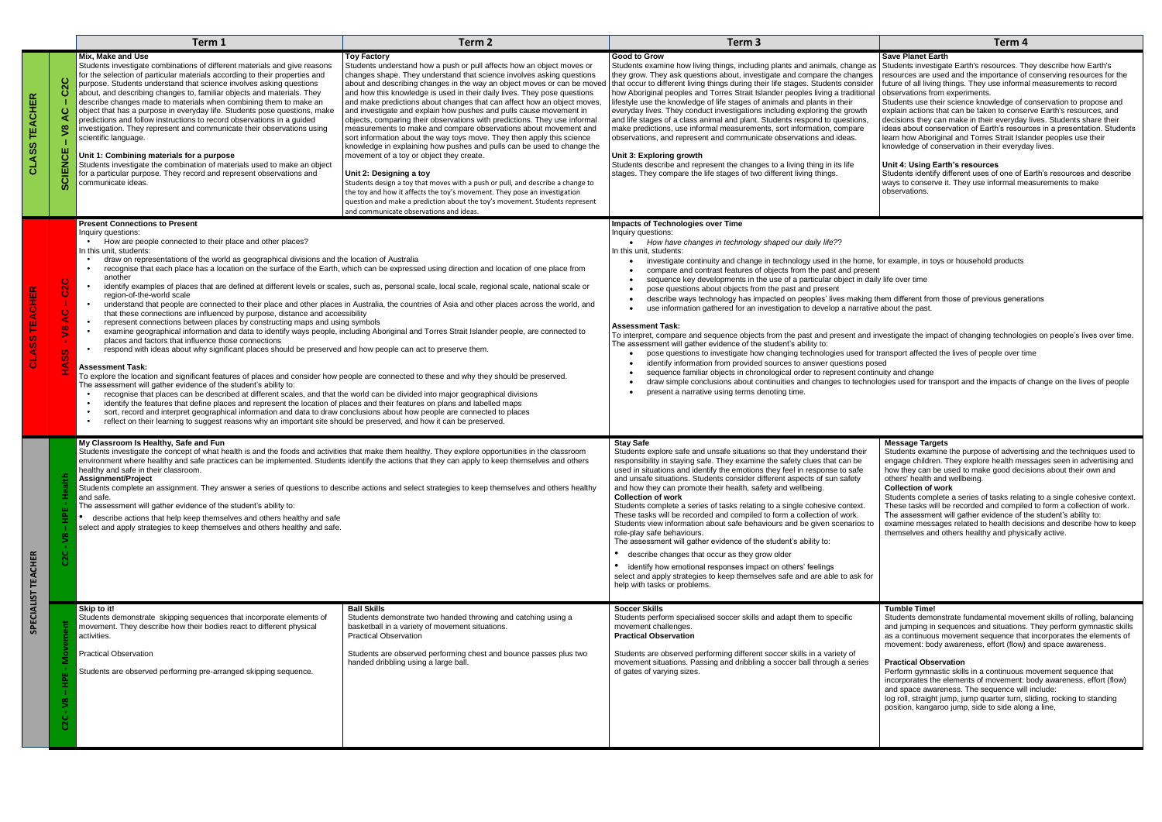|                                                   |                                                                           | Term 1                                                                                                                                                                                                                                                                                                                                                                                                                                                                                                                                                                                                                                                                                                                                                                                                                                                                                                                                                                                                                                                                                                                                                                                                                                                                                                                                                                                                                                                                                                                                                                                                                                                                                                                                                                                                                                                                                                                                                                                                                      | Term 2                                                                                                                                                                                                                                                                                                                                                                                                                                                                                                                                                                                                                                                                                                                                                                                                                                                                                                                                                                                                                                                                                                                                            | Term 3                                                                                                                                                                                                                                                                                                                                                                                                                                                                                                                                                                                                                                                                                                                                                                                                                                                                                                                                                                                                                                                                                                                                                                                                                                                                                                                                                                                                                                      | Term 4                                                                                                                                                                                                                                                                                                                                                                                                                                                                                                                                                                                                                                                                                                                                                                                                                                                                                                            |  |
|---------------------------------------------------|---------------------------------------------------------------------------|-----------------------------------------------------------------------------------------------------------------------------------------------------------------------------------------------------------------------------------------------------------------------------------------------------------------------------------------------------------------------------------------------------------------------------------------------------------------------------------------------------------------------------------------------------------------------------------------------------------------------------------------------------------------------------------------------------------------------------------------------------------------------------------------------------------------------------------------------------------------------------------------------------------------------------------------------------------------------------------------------------------------------------------------------------------------------------------------------------------------------------------------------------------------------------------------------------------------------------------------------------------------------------------------------------------------------------------------------------------------------------------------------------------------------------------------------------------------------------------------------------------------------------------------------------------------------------------------------------------------------------------------------------------------------------------------------------------------------------------------------------------------------------------------------------------------------------------------------------------------------------------------------------------------------------------------------------------------------------------------------------------------------------|---------------------------------------------------------------------------------------------------------------------------------------------------------------------------------------------------------------------------------------------------------------------------------------------------------------------------------------------------------------------------------------------------------------------------------------------------------------------------------------------------------------------------------------------------------------------------------------------------------------------------------------------------------------------------------------------------------------------------------------------------------------------------------------------------------------------------------------------------------------------------------------------------------------------------------------------------------------------------------------------------------------------------------------------------------------------------------------------------------------------------------------------------|---------------------------------------------------------------------------------------------------------------------------------------------------------------------------------------------------------------------------------------------------------------------------------------------------------------------------------------------------------------------------------------------------------------------------------------------------------------------------------------------------------------------------------------------------------------------------------------------------------------------------------------------------------------------------------------------------------------------------------------------------------------------------------------------------------------------------------------------------------------------------------------------------------------------------------------------------------------------------------------------------------------------------------------------------------------------------------------------------------------------------------------------------------------------------------------------------------------------------------------------------------------------------------------------------------------------------------------------------------------------------------------------------------------------------------------------|-------------------------------------------------------------------------------------------------------------------------------------------------------------------------------------------------------------------------------------------------------------------------------------------------------------------------------------------------------------------------------------------------------------------------------------------------------------------------------------------------------------------------------------------------------------------------------------------------------------------------------------------------------------------------------------------------------------------------------------------------------------------------------------------------------------------------------------------------------------------------------------------------------------------|--|
| <b>CHER</b><br>ū.<br>ᇀ<br>$\overline{\textbf{S}}$ | $\infty$<br>ш<br>$\circ$<br>z<br>ပ္က                                      | Mix, Make and Use<br>Students investigate combinations of different materials and give reasons<br>for the selection of particular materials according to their properties and<br>purpose. Students understand that science involves asking questions<br>about, and describing changes to, familiar objects and materials. They<br>describe changes made to materials when combining them to make an<br>object that has a purpose in everyday life. Students pose questions, make<br>predictions and follow instructions to record observations in a guided<br>investigation. They represent and communicate their observations using<br>scientific language.<br>Unit 1: Combining materials for a purpose<br>Students investigate the combination of materials used to make an object<br>for a particular purpose. They record and represent observations and<br>communicate ideas.                                                                                                                                                                                                                                                                                                                                                                                                                                                                                                                                                                                                                                                                                                                                                                                                                                                                                                                                                                                                                                                                                                                                         | <b>Toy Factory</b><br>Students understand how a push or pull affects how an object moves or<br>changes shape. They understand that science involves asking questions<br>about and describing changes in the way an object moves or can be moved<br>and how this knowledge is used in their daily lives. They pose questions<br>and make predictions about changes that can affect how an object moves,<br>and investigate and explain how pushes and pulls cause movement in<br>objects, comparing their observations with predictions. They use informal<br>measurements to make and compare observations about movement and<br>sort information about the way toys move. They then apply this science<br>knowledge in explaining how pushes and pulls can be used to change the<br>movement of a toy or object they create.<br>Unit 2: Designing a toy<br>Students design a toy that moves with a push or pull, and describe a change to<br>the toy and how it affects the toy's movement. They pose an investigation<br>question and make a prediction about the toy's movement. Students represent<br>and communicate observations and ideas. | <b>Good to Grow</b><br>Students examine how living things, including plants and animals, change as<br>they grow. They ask questions about, investigate and compare the changes<br>that occur to different living things during their life stages. Students consider<br>how Aboriginal peoples and Torres Strait Islander peoples living a traditional<br>lifestyle use the knowledge of life stages of animals and plants in their<br>everyday lives. They conduct investigations including exploring the growth<br>and life stages of a class animal and plant. Students respond to questions,<br>make predictions, use informal measurements, sort information, compare<br>observations, and represent and communicate observations and ideas.<br>Unit 3: Exploring growth<br>Students describe and represent the changes to a living thing in its life<br>stages. They compare the life stages of two different living things.                                                                                                                                                                                                                                                                                                                                                                                                                                                                                                           | <b>Save Planet Earth</b><br>Students investigate Earth's resources. They describe how Earth's<br>resources are used and the importance of conserving resources for the<br>future of all living things. They use informal measurements to record<br>observations from experiments.<br>Students use their science knowledge of conservation to propose and<br>explain actions that can be taken to conserve Earth's resources, and<br>decisions they can make in their everyday lives. Students share their<br>ideas about conservation of Earth's resources in a presentation. Students<br>learn how Aboriginal and Torres Strait Islander peoples use their<br>knowledge of conservation in their everyday lives.<br>Unit 4: Using Earth's resources<br>Students identify different uses of one of Earth's resources and describe<br>ways to conserve it. They use informal measurements to make<br>observations. |  |
|                                                   | $\mathbf C$<br>$\overline{\mathbf{S}}$<br>$\infty$<br>$\geq$<br><b>CO</b> | <b>Present Connections to Present</b><br>Inauiry auestions:<br>How are people connected to their place and other places?<br>In this unit, students:<br>draw on representations of the world as geographical divisions and the location of Australia<br>recognise that each place has a location on the surface of the Earth, which can be expressed using direction and location of one place from<br>$\bullet$<br>another<br>identify examples of places that are defined at different levels or scales, such as, personal scale, local scale, regional scale, national scale or<br>region-of-the-world scale<br>understand that people are connected to their place and other places in Australia, the countries of Asia and other places across the world, and<br>that these connections are influenced by purpose, distance and accessibility<br>represent connections between places by constructing maps and using symbols<br>examine geographical information and data to identify ways people, including Aboriginal and Torres Strait Islander people, are connected to<br>places and factors that influence those connections<br>respond with ideas about why significant places should be preserved and how people can act to preserve them.<br><b>Assessment Task:</b><br>To explore the location and significant features of places and consider how people are connected to these and why they should be preserved.<br>The assessment will gather evidence of the student's ability to:<br>recognise that places can be described at different scales, and that the world can be divided into major geographical divisions<br>identify the features that define places and represent the location of places and their features on plans and labelled maps<br>sort, record and interpret geographical information and data to draw conclusions about how people are connected to places<br>reflect on their learning to suggest reasons why an important site should be preserved, and how it can be preserved. |                                                                                                                                                                                                                                                                                                                                                                                                                                                                                                                                                                                                                                                                                                                                                                                                                                                                                                                                                                                                                                                                                                                                                   | Impacts of Technologies over Time<br>Inquiry questions:<br>How have changes in technology shaped our daily life??<br>In this unit, students:<br>investigate continuity and change in technology used in the home, for example, in toys or household products<br>compare and contrast features of objects from the past and present<br>sequence key developments in the use of a particular object in daily life over time<br>pose questions about objects from the past and present<br>describe ways technology has impacted on peoples' lives making them different from those of previous generations<br>use information gathered for an investigation to develop a narrative about the past.<br><b>Assessment Task:</b><br>To interpret, compare and sequence objects from the past and present and investigate the impact of changing technologies on people's lives over time.<br>The assessment will gather evidence of the student's ability to:<br>pose questions to investigate how changing technologies used for transport affected the lives of people over time<br>identify information from provided sources to answer questions posed<br>sequence familiar objects in chronological order to represent continuity and change<br>draw simple conclusions about continuities and changes to technologies used for transport and the impacts of change on the lives of people<br>present a narrative using terms denoting time. |                                                                                                                                                                                                                                                                                                                                                                                                                                                                                                                                                                                                                                                                                                                                                                                                                                                                                                                   |  |
| <b>TEACHER</b>                                    | $\mathbf \omega$<br>Ñ                                                     | My Classroom Is Healthy, Safe and Fun<br>Students investigate the concept of what health is and the foods and activities that make them healthy. They explore opportunities in the classroom<br>environment where healthy and safe practices can be implemented. Students identify the actions that they can apply to keep themselves and others<br>healthy and safe in their classroom.<br>Assignment/Project<br>Students complete an assignment. They answer a series of questions to describe actions and select strategies to keep themselves and others healthy<br>and safe.<br>The assessment will gather evidence of the student's ability to:<br>describe actions that help keep themselves and others healthy and safe<br>select and apply strategies to keep themselves and others healthy and safe.                                                                                                                                                                                                                                                                                                                                                                                                                                                                                                                                                                                                                                                                                                                                                                                                                                                                                                                                                                                                                                                                                                                                                                                                              |                                                                                                                                                                                                                                                                                                                                                                                                                                                                                                                                                                                                                                                                                                                                                                                                                                                                                                                                                                                                                                                                                                                                                   | <b>Stay Safe</b><br>Students explore safe and unsafe situations so that they understand their<br>responsibility in staying safe. They examine the safety clues that can be<br>used in situations and identify the emotions they feel in response to safe<br>and unsafe situations. Students consider different aspects of sun safety<br>and how they can promote their health, safety and wellbeing.<br><b>Collection of work</b><br>Students complete a series of tasks relating to a single cohesive context.<br>These tasks will be recorded and compiled to form a collection of work.<br>Students view information about safe behaviours and be given scenarios to<br>role-play safe behaviours.<br>The assessment will gather evidence of the student's ability to:<br>describe changes that occur as they grow older<br>identify how emotional responses impact on others' feelings<br>select and apply strategies to keep themselves safe and are able to ask for<br>help with tasks or problems.                                                                                                                                                                                                                                                                                                                                                                                                                                   | <b>Message Targets</b><br>Students examine the purpose of advertising and the techniques used to<br>engage children. They explore health messages seen in advertising and<br>how they can be used to make good decisions about their own and<br>others' health and wellbeing.<br><b>Collection of work</b><br>Students complete a series of tasks relating to a single cohesive context.<br>These tasks will be recorded and compiled to form a collection of work.<br>The assessment will gather evidence of the student's ability to:<br>examine messages related to health decisions and describe how to keep<br>themselves and others healthy and physically active.                                                                                                                                                                                                                                          |  |
| <b>CIALIST</b><br>န္                              |                                                                           | Skip to it!<br>Students demonstrate skipping sequences that incorporate elements of<br>movement. They describe how their bodies react to different physical<br>activities.<br><b>Practical Observation</b><br>Students are observed performing pre-arranged skipping sequence.                                                                                                                                                                                                                                                                                                                                                                                                                                                                                                                                                                                                                                                                                                                                                                                                                                                                                                                                                                                                                                                                                                                                                                                                                                                                                                                                                                                                                                                                                                                                                                                                                                                                                                                                              | <b>Ball Skills</b><br>Students demonstrate two handed throwing and catching using a<br>basketball in a variety of movement situations.<br><b>Practical Observation</b><br>Students are observed performing chest and bounce passes plus two<br>handed dribbling using a large ball                                                                                                                                                                                                                                                                                                                                                                                                                                                                                                                                                                                                                                                                                                                                                                                                                                                                | <b>Soccer Skills</b><br>Students perform specialised soccer skills and adapt them to specific<br>movement challenges.<br><b>Practical Observation</b><br>Students are observed performing different soccer skills in a variety of<br>movement situations. Passing and dribbling a soccer ball through a series<br>of gates of varying sizes.                                                                                                                                                                                                                                                                                                                                                                                                                                                                                                                                                                                                                                                                                                                                                                                                                                                                                                                                                                                                                                                                                                | <b>Tumble Time!</b><br>Students demonstrate fundamental movement skills of rolling, balancing<br>and jumping in sequences and situations. They perform gymnastic skills<br>as a continuous movement sequence that incorporates the elements of<br>movement: body awareness, effort (flow) and space awareness.<br><b>Practical Observation</b><br>Perform gymnastic skills in a continuous movement sequence that<br>incorporates the elements of movement: body awareness, effort (flow)<br>and space awareness. The sequence will include:<br>log roll, straight jump, jump quarter turn, sliding, rocking to standing<br>position, kangaroo jump, side to side along a line,                                                                                                                                                                                                                                   |  |

- 
- 
- 
- 
- 
- 
- 
-